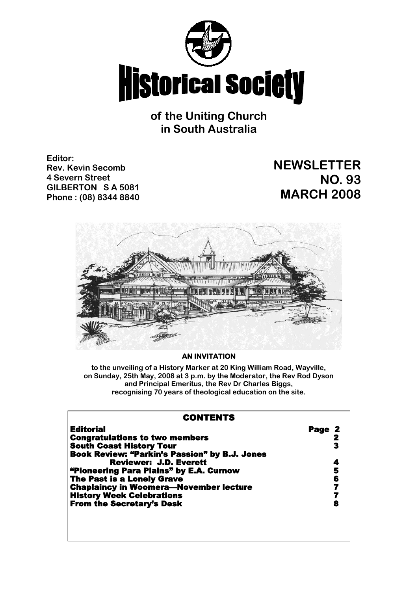

# **of the Uniting Church in South Australia**

**Editor: Rev. Kevin Secomb 4 Severn Street GILBERTON S A 5081 Phone : (08) 8344 8840**

# **NEWSLETTER NO. 93 MARCH 2008**



### **AN INVITATION**

**to the unveiling of a History Marker at 20 King William Road, Wayville, on Sunday, 25th May, 2008 at 3 p.m. by the Moderator, the Rev Rod Dyson and Principal Emeritus, the Rev Dr Charles Biggs, recognising 70 years of theological education on the site.**

| <b>CONTENTS</b>                               |                |
|-----------------------------------------------|----------------|
| <b>Editorial</b>                              | Page 2         |
| <b>Congratulations to two members</b>         | 2              |
| <b>South Coast History Tour</b>               | 3              |
| Book Review: "Parkin's Passion" by B.J. Jones |                |
| <b>Reviewer: J.D. Everett</b>                 | 4              |
| "Pioneering Para Plains" by E.A. Curnow       | 5              |
| <b>The Past is a Lonely Grave</b>             | 6              |
| <b>Chaplaincy in Woomera-November lecture</b> | $\overline{7}$ |
| <b>History Week Celebrations</b>              | 7              |
| <b>From the Secretary's Desk</b>              | 8              |
|                                               |                |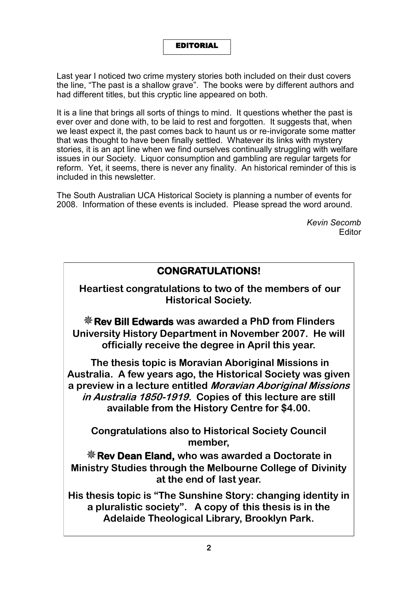### EDITORIAL

Last year I noticed two crime mystery stories both included on their dust covers the line, "The past is a shallow grave". The books were by different authors and had different titles, but this cryptic line appeared on both.

It is a line that brings all sorts of things to mind. It questions whether the past is ever over and done with, to be laid to rest and forgotten. It suggests that, when we least expect it, the past comes back to haunt us or re-invigorate some matter that was thought to have been finally settled. Whatever its links with mystery stories, it is an apt line when we find ourselves continually struggling with welfare issues in our Society. Liquor consumption and gambling are regular targets for reform. Yet, it seems, there is never any finality. An historical reminder of this is included in this newsletter.

The South Australian UCA Historical Society is planning a number of events for 2008. Information of these events is included. Please spread the word around.

> *Kevin Secomb* Editor

# **CONGRATULATIONS!**

**Heartiest congratulations to two of the members of our Historical Society.**

**Rev Bill Edwards was awarded a PhD from Flinders University History Department in November 2007. He will officially receive the degree in April this year.**

**The thesis topic is Moravian Aboriginal Missions in Australia. A few years ago, the Historical Society was given a preview in a lecture entitled Moravian Aboriginal Missions in Australia 1850-1919. Copies of this lecture are still available from the History Centre for \$4.00.**

**Congratulations also to Historical Society Council member,** 

**Rev Dean Eland, who was awarded a Doctorate in Ministry Studies through the Melbourne College of Divinity at the end of last year.**

**His thesis topic is "The Sunshine Story: changing identity in a pluralistic society". A copy of this thesis is in the Adelaide Theological Library, Brooklyn Park.**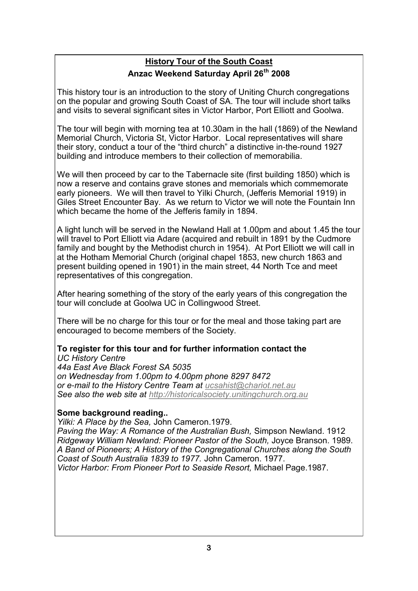# **History Tour of the South Coast Anzac Weekend Saturday April 26th 2008**

This history tour is an introduction to the story of Uniting Church congregations on the popular and growing South Coast of SA. The tour will include short talks and visits to several significant sites in Victor Harbor, Port Elliott and Goolwa.

The tour will begin with morning tea at 10.30am in the hall (1869) of the Newland Memorial Church, Victoria St, Victor Harbor. Local representatives will share their story, conduct a tour of the "third church" a distinctive in-the-round 1927 building and introduce members to their collection of memorabilia.

We will then proceed by car to the Tabernacle site (first building 1850) which is now a reserve and contains grave stones and memorials which commemorate early pioneers. We will then travel to Yilki Church, (Jefferis Memorial 1919) in Giles Street Encounter Bay. As we return to Victor we will note the Fountain Inn which became the home of the Jefferis family in 1894.

A light lunch will be served in the Newland Hall at 1.00pm and about 1.45 the tour will travel to Port Elliott via Adare (acquired and rebuilt in 1891 by the Cudmore family and bought by the Methodist church in 1954). At Port Elliott we will call in at the Hotham Memorial Church (original chapel 1853, new church 1863 and present building opened in 1901) in the main street, 44 North Tce and meet representatives of this congregation.

After hearing something of the story of the early years of this congregation the tour will conclude at Goolwa UC in Collingwood Street.

There will be no charge for this tour or for the meal and those taking part are encouraged to become members of the Society.

# **To register for this tour and for further information contact the**

*UC History Centre 44a East Ave Black Forest SA 5035 on Wednesday from 1.00pm to 4.00pm phone 8297 8472 or e-mail to the History Centre Team at [ucsahist@chariot.net.au](mailto:ucsahist@chariot.net.au) See also the web site at [http://historicalsociety.unitingchurch.org.au](http://historicalsociety.unitingchurch.org.au/)*

## **Some background reading..**

*Yilki: A Place by the Sea,* John Cameron.1979. *Paving the Way: A Romance of the Australian Bush,* Simpson Newland. 1912 *Ridgeway William Newland: Pioneer Pastor of the South,* Joyce Branson. 1989. *A Band of Pioneers; A History of the Congregational Churches along the South Coast of South Australia 1839 to 1977.* John Cameron. 1977. *Victor Harbor: From Pioneer Port to Seaside Resort,* Michael Page.1987.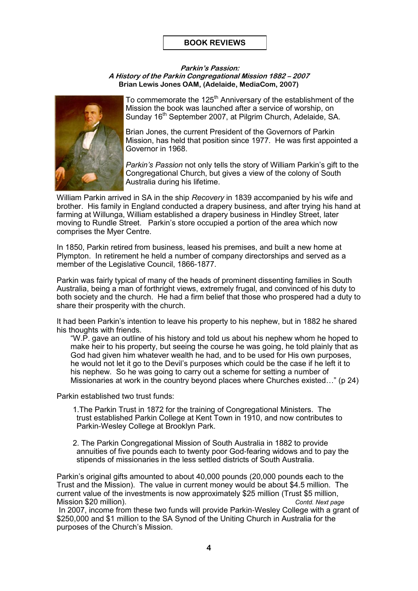### **BOOK REVIEWS**

#### **Parkin's Passion: A History of the Parkin Congregational Mission 1882 – 2007 Brian Lewis Jones OAM, (Adelaide, MediaCom, 2007)**



To commemorate the 125<sup>th</sup> Anniversary of the establishment of the Mission the book was launched after a service of worship, on Sunday 16<sup>th</sup> September 2007, at Pilgrim Church, Adelaide, SA.

Brian Jones, the current President of the Governors of Parkin Mission, has held that position since 1977. He was first appointed a Governor in 1968.

*Parkin's Passion* not only tells the story of William Parkin's gift to the Congregational Church, but gives a view of the colony of South Australia during his lifetime.

William Parkin arrived in SA in the ship *Recovery* in 1839 accompanied by his wife and brother. His family in England conducted a drapery business, and after trying his hand at farming at Willunga, William established a drapery business in Hindley Street, later moving to Rundle Street. Parkin's store occupied a portion of the area which now comprises the Myer Centre.

In 1850, Parkin retired from business, leased his premises, and built a new home at Plympton. In retirement he held a number of company directorships and served as a member of the Legislative Council, 1866-1877.

Parkin was fairly typical of many of the heads of prominent dissenting families in South Australia, being a man of forthright views, extremely frugal, and convinced of his duty to both society and the church. He had a firm belief that those who prospered had a duty to share their prosperity with the church.

It had been Parkin's intention to leave his property to his nephew, but in 1882 he shared his thoughts with friends.

"W.P. gave an outline of his history and told us about his nephew whom he hoped to make heir to his property, but seeing the course he was going, he told plainly that as God had given him whatever wealth he had, and to be used for His own purposes, he would not let it go to the Devil's purposes which could be the case if he left it to his nephew. So he was going to carry out a scheme for setting a number of Missionaries at work in the country beyond places where Churches existed…" (p 24)

Parkin established two trust funds:

- 1.The Parkin Trust in 1872 for the training of Congregational Ministers. The trust established Parkin College at Kent Town in 1910, and now contributes to Parkin-Wesley College at Brooklyn Park.
- 2. The Parkin Congregational Mission of South Australia in 1882 to provide annuities of five pounds each to twenty poor God-fearing widows and to pay the stipends of missionaries in the less settled districts of South Australia.

Parkin's original gifts amounted to about 40,000 pounds (20,000 pounds each to the Trust and the Mission). The value in current money would be about \$4.5 million. The current value of the investments is now approximately \$25 million (Trust \$5 million, Mission \$20 million). *Contd. Next page*

In 2007, income from these two funds will provide Parkin-Wesley College with a grant of \$250,000 and \$1 million to the SA Synod of the Uniting Church in Australia for the purposes of the Church's Mission.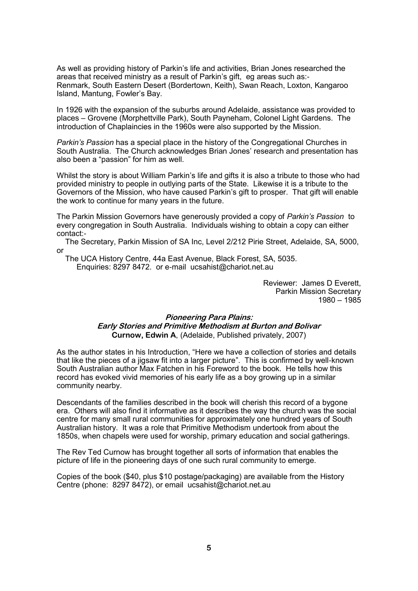As well as providing history of Parkin's life and activities, Brian Jones researched the areas that received ministry as a result of Parkin's gift, eg areas such as:- Renmark, South Eastern Desert (Bordertown, Keith), Swan Reach, Loxton, Kangaroo Island, Mantung, Fowler's Bay.

In 1926 with the expansion of the suburbs around Adelaide, assistance was provided to places – Grovene (Morphettville Park), South Payneham, Colonel Light Gardens. The introduction of Chaplaincies in the 1960s were also supported by the Mission.

*Parkin's Passion* has a special place in the history of the Congregational Churches in South Australia. The Church acknowledges Brian Jones' research and presentation has also been a "passion" for him as well.

Whilst the story is about William Parkin's life and gifts it is also a tribute to those who had provided ministry to people in outlying parts of the State. Likewise it is a tribute to the Governors of the Mission, who have caused Parkin's gift to prosper. That gift will enable the work to continue for many years in the future.

The Parkin Mission Governors have generously provided a copy of *Parkin's Passion* to every congregation in South Australia. Individuals wishing to obtain a copy can either contact:-

 The Secretary, Parkin Mission of SA Inc, Level 2/212 Pirie Street, Adelaide, SA, 5000, or

 The UCA History Centre, 44a East Avenue, Black Forest, SA, 5035. Enquiries: 8297 8472. or e-mail ucsahist@chariot.net.au

> Reviewer: James D Everett, Parkin Mission Secretary 1980 – 1985

### **Pioneering Para Plains: Early Stories and Primitive Methodism at Burton and Bolivar Curnow, Edwin A**, (Adelaide, Published privately, 2007)

As the author states in his Introduction, "Here we have a collection of stories and details that like the pieces of a jigsaw fit into a larger picture". This is confirmed by well-known South Australian author Max Fatchen in his Foreword to the book. He tells how this record has evoked vivid memories of his early life as a boy growing up in a similar community nearby.

Descendants of the families described in the book will cherish this record of a bygone era. Others will also find it informative as it describes the way the church was the social centre for many small rural communities for approximately one hundred years of South Australian history. It was a role that Primitive Methodism undertook from about the 1850s, when chapels were used for worship, primary education and social gatherings.

The Rev Ted Curnow has brought together all sorts of information that enables the picture of life in the pioneering days of one such rural community to emerge.

Copies of the book (\$40, plus \$10 postage/packaging) are available from the History Centre (phone: 8297 8472), or email ucsahist@chariot.net.au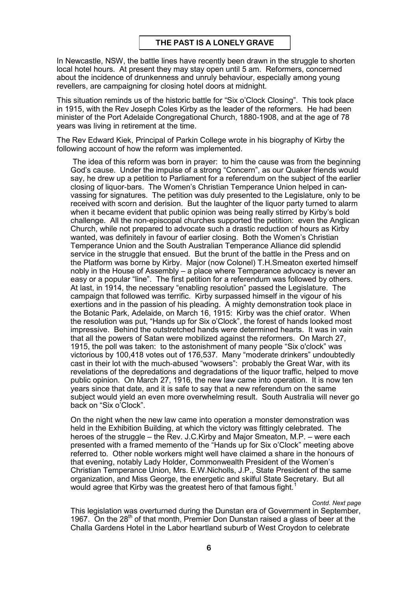In Newcastle, NSW, the battle lines have recently been drawn in the struggle to shorten local hotel hours. At present they may stay open until 5 am. Reformers, concerned about the incidence of drunkenness and unruly behaviour, especially among young revellers, are campaigning for closing hotel doors at midnight.

This situation reminds us of the historic battle for "Six o'Clock Closing". This took place in 1915, with the Rev Joseph Coles Kirby as the leader of the reformers. He had been minister of the Port Adelaide Congregational Church, 1880-1908, and at the age of 78 years was living in retirement at the time.

The Rev Edward Kiek, Principal of Parkin College wrote in his biography of Kirby the following account of how the reform was implemented.

The idea of this reform was born in prayer: to him the cause was from the beginning God's cause. Under the impulse of a strong "Concern", as our Quaker friends would say, he drew up a petition to Parliament for a referendum on the subject of the earlier closing of liquor-bars. The Women's Christian Temperance Union helped in canvassing for signatures. The petition was duly presented to the Legislature, only to be received with scorn and derision. But the laughter of the liquor party turned to alarm when it became evident that public opinion was being really stirred by Kirby's bold challenge. All the non-episcopal churches supported the petition: even the Anglican Church, while not prepared to advocate such a drastic reduction of hours as Kirby wanted, was definitely in favour of earlier closing. Both the Women's Christian Temperance Union and the South Australian Temperance Alliance did splendid service in the struggle that ensued. But the brunt of the battle in the Press and on the Platform was borne by Kirby. Major (now Colonel) T.H.Smeaton exerted himself nobly in the House of Assembly – a place where Temperance advocacy is never an easy or a popular "line". The first petition for a referendum was followed by others. At last, in 1914, the necessary "enabling resolution" passed the Legislature. The campaign that followed was terrific. Kirby surpassed himself in the vigour of his exertions and in the passion of his pleading. A mighty demonstration took place in the Botanic Park, Adelaide, on March 16, 1915: Kirby was the chief orator. When the resolution was put, "Hands up for Six o'Clock", the forest of hands looked most impressive. Behind the outstretched hands were determined hearts. It was in vain that all the powers of Satan were mobilized against the reformers. On March 27, 1915, the poll was taken: to the astonishment of many people "Six o'clock" was victorious by 100,418 votes out of 176,537. Many "moderate drinkers" undoubtedly cast in their lot with the much-abused "wowsers": probably the Great War, with its revelations of the depredations and degradations of the liquor traffic, helped to move public opinion. On March 27, 1916, the new law came into operation. It is now ten years since that date, and it is safe to say that a new referendum on the same subject would yield an even more overwhelming result. South Australia will never go back on "Six o'Clock".

On the night when the new law came into operation a monster demonstration was held in the Exhibition Building, at which the victory was fittingly celebrated. The heroes of the struggle – the Rev. J.C.Kirby and Major Smeaton, M.P. – were each presented with a framed memento of the "Hands up for Six o'Clock" meeting above referred to. Other noble workers might well have claimed a share in the honours of that evening, notably Lady Holder, Commonwealth President of the Women's Christian Temperance Union, Mrs. E.W.Nicholls, J.P., State President of the same organization, and Miss George, the energetic and skilful State Secretary. But all would agree that Kirby was the greatest hero of that famous fight.<sup>1</sup>

*Contd. Next page*

This legislation was overturned during the Dunstan era of Government in September, 1967. On the  $28<sup>th</sup>$  of that month, Premier Don Dunstan raised a glass of beer at the Challa Gardens Hotel in the Labor heartland suburb of West Croydon to celebrate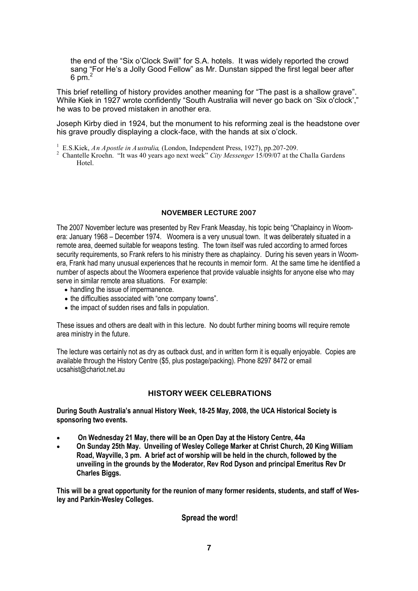the end of the "Six o'Clock Swill" for S.A. hotels. It was widely reported the crowd sang "For He's a Jolly Good Fellow" as Mr. Dunstan sipped the first legal beer after 6 pm.<sup>2</sup>

This brief retelling of history provides another meaning for "The past is a shallow grave". While Kiek in 1927 wrote confidently "South Australia will never go back on 'Six o'clock'," he was to be proved mistaken in another era.

Joseph Kirby died in 1924, but the monument to his reforming zeal is the headstone over his grave proudly displaying a clock-face, with the hands at six o'clock.

1 E.S.Kiek, *An Apostle in Australia,* (London, Independent Press, 1927), pp.207-209.

2 Chantelle Kroehn. "It was 40 years ago next week" *City Messenger* 15/09/07 at the Challa Gardens Hotel.

### **NOVEMBER LECTURE 2007**

The 2007 November lecture was presented by Rev Frank Measday, his topic being "Chaplaincy in Woomera: January 1968 – December 1974. Woomera is a very unusual town. It was deliberately situated in a remote area, deemed suitable for weapons testing. The town itself was ruled according to armed forces security requirements, so Frank refers to his ministry there as chaplaincy. During his seven years in Woomera, Frank had many unusual experiences that he recounts in memoir form. At the same time he identified a number of aspects about the Woomera experience that provide valuable insights for anyone else who may serve in similar remote area situations. For example:

- handling the issue of impermanence.
- the difficulties associated with "one company towns".
- the impact of sudden rises and falls in population.

These issues and others are dealt with in this lecture. No doubt further mining booms will require remote area ministry in the future.

The lecture was certainly not as dry as outback dust, and in written form it is equally enjoyable. Copies are available through the History Centre (\$5, plus postage/packing). Phone 8297 8472 or email ucsahist@chariot.net.au

### **HISTORY WEEK CELEBRATIONS**

**During South Australia's annual History Week, 18-25 May, 2008, the UCA Historical Society is sponsoring two events.**

- **On Wednesday 21 May, there will be an Open Day at the History Centre, 44a**
- **On Sunday 25th May. Unveiling of Wesley College Marker at Christ Church, 20 King William Road, Wayville, 3 pm. A brief act of worship will be held in the church, followed by the unveiling in the grounds by the Moderator, Rev Rod Dyson and principal Emeritus Rev Dr Charles Biggs.**

**This will be a great opportunity for the reunion of many former residents, students, and staff of Wesley and Parkin-Wesley Colleges.**

**Spread the word!**